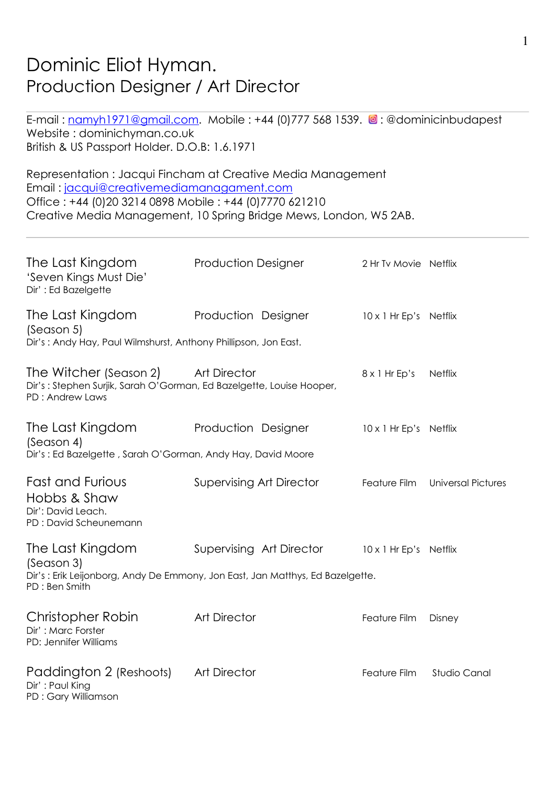# Dominic Eliot Hyman. Production Designer / Art Director

E-mail: namyh1971@gmail.com. Mobile : +44 (0)777 568 1539. <sup>o</sup>: @dominicinbudapest Website : dominichyman.co.uk British & US Passport Holder. D.O.B: 1.6.1971

Representation : Jacqui Fincham at Creative Media Management Email : jacqui@creativemediamanagament.com Office : +44 (0)20 3214 0898 Mobile : +44 (0)7770 621210 Creative Media Management, 10 Spring Bridge Mews, London, W5 2AB.

| The Last Kingdom<br>'Seven Kings Must Die'<br>Dir': Ed Bazelgette                                                 | <b>Production Designer</b>                                                                                | 2 Hr Tv Movie Netflix  |                           |
|-------------------------------------------------------------------------------------------------------------------|-----------------------------------------------------------------------------------------------------------|------------------------|---------------------------|
| The Last Kingdom<br>(Season 5)<br>Dir's: Andy Hay, Paul Wilmshurst, Anthony Phillipson, Jon East.                 | Production Designer                                                                                       | 10 x 1 Hr Ep's Netflix |                           |
| The Witcher (Season 2)<br>Dir's: Stephen Surjik, Sarah O'Gorman, Ed Bazelgette, Louise Hooper,<br>PD: Andrew Laws | <b>Art Director</b>                                                                                       | $8 \times 1$ Hr Ep's   | <b>Netflix</b>            |
| The Last Kingdom<br>(Season 4)<br>Dir's: Ed Bazelgette, Sarah O'Gorman, Andy Hay, David Moore                     | Production Designer                                                                                       | 10 x 1 Hr Ep's Netflix |                           |
| <b>Fast and Furious</b><br>Hobbs & Shaw<br>Dir': David Leach.<br>PD: David Scheunemann                            | <b>Supervising Art Director</b>                                                                           | Feature Film           | <b>Universal Pictures</b> |
| The Last Kingdom<br>(Season 3)<br>PD : Ben Smith                                                                  | Supervising Art Director<br>Dir's: Erik Leijonborg, Andy De Emmony, Jon East, Jan Matthys, Ed Bazelgette. | 10 x 1 Hr Ep's Netflix |                           |
| Christopher Robin<br>Dir': Marc Forster<br>PD: Jennifer Williams                                                  | <b>Art Director</b>                                                                                       | Feature Film           | Disney                    |
| Paddington 2 (Reshoots)<br>Dir': Paul King<br>PD: Gary Williamson                                                 | <b>Art Director</b>                                                                                       | Feature Film           | Studio Canal              |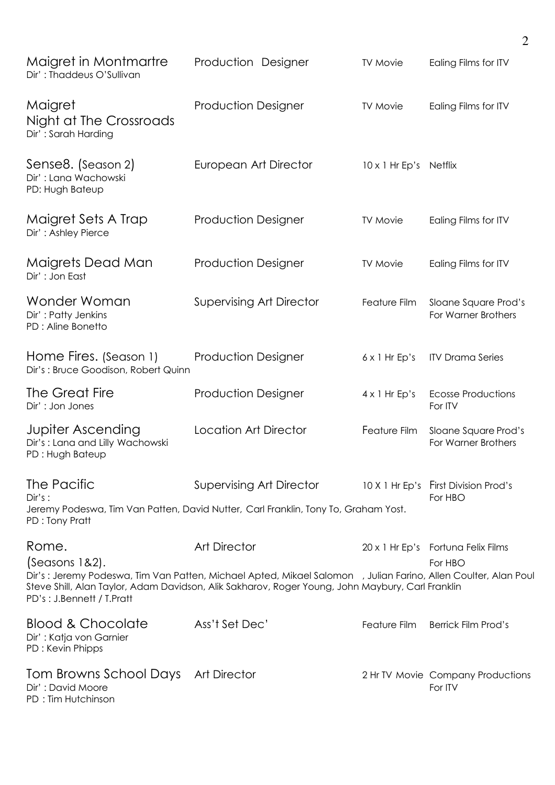| Maigret in Montmartre<br>Dir': Thaddeus O'Sullivan                             | Production Designer                                                                                                                                                                                                                       | <b>TV Movie</b>        | Ealing Films for ITV                            |
|--------------------------------------------------------------------------------|-------------------------------------------------------------------------------------------------------------------------------------------------------------------------------------------------------------------------------------------|------------------------|-------------------------------------------------|
| Maigret<br>Night at The Crossroads<br>Dir': Sarah Harding                      | <b>Production Designer</b>                                                                                                                                                                                                                | <b>TV Movie</b>        | Ealing Films for ITV                            |
| Sense8. (Season 2)<br>Dir': Lana Wachowski<br>PD: Hugh Bateup                  | European Art Director                                                                                                                                                                                                                     | 10 x 1 Hr Ep's Netflix |                                                 |
| Maigret Sets A Trap<br>Dir': Ashley Pierce                                     | <b>Production Designer</b>                                                                                                                                                                                                                | <b>TV Movie</b>        | Ealing Films for ITV                            |
| Maigrets Dead Man<br>Dir': Jon East                                            | <b>Production Designer</b>                                                                                                                                                                                                                | <b>TV Movie</b>        | Ealing Films for ITV                            |
| Wonder Woman<br>Dir': Patty Jenkins<br>PD : Aline Bonetto                      | <b>Supervising Art Director</b>                                                                                                                                                                                                           | Feature Film           | Sloane Square Prod's<br>For Warner Brothers     |
| Home Fires. (Season 1)<br>Dir's: Bruce Goodison, Robert Quinn                  | <b>Production Designer</b>                                                                                                                                                                                                                | $6 \times 1$ Hr Ep's   | <b>ITV Drama Series</b>                         |
| The Great Fire<br>Dir': Jon Jones                                              | <b>Production Designer</b>                                                                                                                                                                                                                | $4 \times 1$ Hr Ep's   | <b>Ecosse Productions</b><br>For ITV            |
| <b>Jupiter Ascending</b><br>Dir's: Lana and Lilly Wachowski<br>PD: Hugh Bateup | <b>Location Art Director</b>                                                                                                                                                                                                              | Feature Film           | Sloane Square Prod's<br>For Warner Brothers     |
| The Pacific<br>Dir's:<br>PD: Tony Pratt                                        | Supervising Art Director<br>Jeremy Podeswa, Tim Van Patten, David Nutter, Carl Franklin, Tony To, Graham Yost.                                                                                                                            |                        | 10 X 1 Hr Ep's First Division Prod's<br>For HBO |
| Rome.<br>(Seasons 1&2).<br>PD's: J.Bennett / T.Pratt                           | <b>Art Director</b><br>Dir's: Jeremy Podeswa, Tim Van Patten, Michael Apted, Mikael Salomon , Julian Farino, Allen Coulter, Alan Poul<br>Steve Shill, Alan Taylor, Adam Davidson, Alik Sakharov, Roger Young, John Maybury, Carl Franklin |                        | 20 x 1 Hr Ep's Fortuna Felix Films<br>For HBO   |
| <b>Blood &amp; Chocolate</b><br>Dir': Katja von Garnier<br>PD: Kevin Phipps    | Ass't Set Dec'                                                                                                                                                                                                                            | Feature Film           | <b>Berrick Film Prod's</b>                      |
| Tom Browns School Days Art Director<br>Dir': David Moore<br>PD: Tim Hutchinson |                                                                                                                                                                                                                                           |                        | 2 Hr TV Movie Company Productions<br>For ITV    |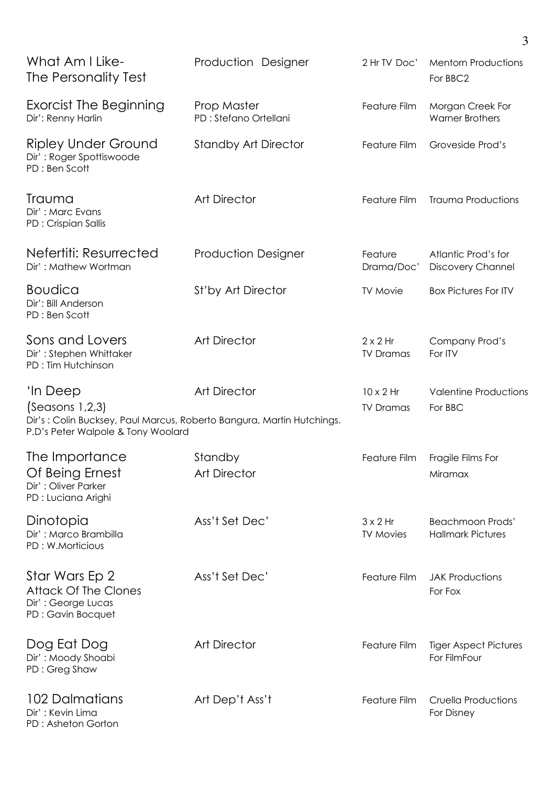| What Am I Like-<br>The Personality Test                                                                                                    | Production Designer                   | 2 Hr TV Doc'                         | <b>Mentorn Productions</b><br>For BBC2              |
|--------------------------------------------------------------------------------------------------------------------------------------------|---------------------------------------|--------------------------------------|-----------------------------------------------------|
| <b>Exorcist The Beginning</b><br>Dir': Renny Harlin                                                                                        | Prop Master<br>PD : Stefano Ortellani | Feature Film                         | Morgan Creek For<br><b>Warner Brothers</b>          |
| <b>Ripley Under Ground</b><br>Dir': Roger Spottiswoode<br>PD: Ben Scott                                                                    | <b>Standby Art Director</b>           | Feature Film                         | Groveside Prod's                                    |
| Trauma<br>Dir': Marc Evans<br>PD: Crispian Sallis                                                                                          | <b>Art Director</b>                   | Feature Film                         | <b>Trauma Productions</b>                           |
| Nefertiti: Resurrected<br>Dir': Mathew Wortman                                                                                             | <b>Production Designer</b>            | Feature<br>Drama/Doc'                | Atlantic Prod's for<br><b>Discovery Channel</b>     |
| <b>Boudica</b><br>Dir': Bill Anderson<br>PD: Ben Scott                                                                                     | St'by Art Director                    | <b>TV Movie</b>                      | <b>Box Pictures For ITV</b>                         |
| Sons and Lovers<br>Dir': Stephen Whittaker<br>PD: Tim Hutchinson                                                                           | <b>Art Director</b>                   | $2 \times 2$ Hr<br><b>TV Dramas</b>  | Company Prod's<br>For ITV                           |
| 'In Deep<br>(Seasons 1,2,3)<br>Dir's: Colin Bucksey, Paul Marcus, Roberto Bangura, Martin Hutchings.<br>P.D's Peter Walpole & Tony Woolard | <b>Art Director</b>                   | $10 \times 2$ Hr<br><b>TV Dramas</b> | <b>Valentine Productions</b><br>For BBC             |
| The Importance<br>Of Being Ernest<br>Dir': Oliver Parker<br>PD : Luciana Arighi                                                            | Standby<br><b>Art Director</b>        | Feature Film                         | Fragile Films For<br>Miramax                        |
| Dinotopia<br>Dir': Marco Brambilla<br>PD: W.Morticious                                                                                     | Ass't Set Dec'                        | $3 \times 2$ Hr<br><b>TV Movies</b>  | <b>Beachmoon Prods'</b><br><b>Hallmark Pictures</b> |
| Star Wars Ep 2<br><b>Attack Of The Clones</b><br>Dir': George Lucas<br>PD: Gavin Bocquet                                                   | Ass't Set Dec'                        | Feature Film                         | <b>JAK Productions</b><br>For Fox                   |
| Dog Eat Dog<br>Dir': Moody Shoabi<br>PD: Greg Shaw                                                                                         | <b>Art Director</b>                   | Feature Film                         | <b>Tiger Aspect Pictures</b><br>For FilmFour        |
| 102 Dalmatians<br>Dir': Kevin Lima<br>PD: Asheton Gorton                                                                                   | Art Dep't Ass't                       | Feature Film                         | <b>Cruella Productions</b><br>For Disney            |

3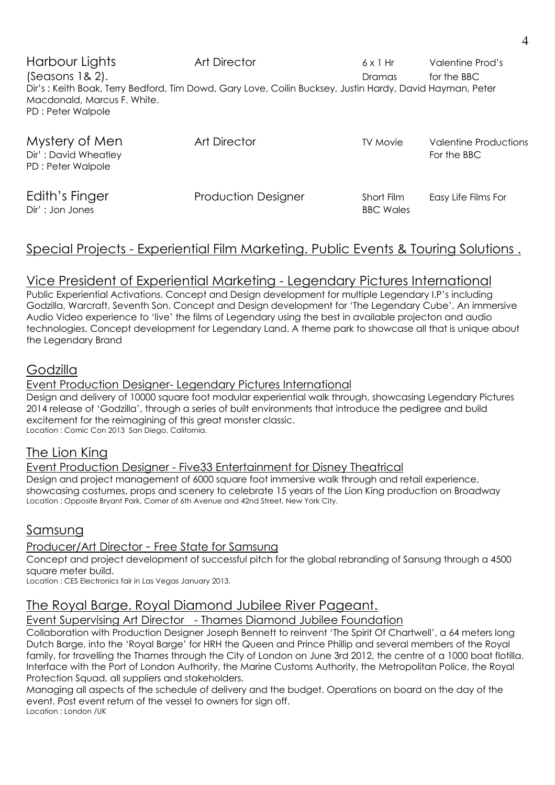Harbour Lights **Art Director** 6 x 1 Hr Valentine Prod's (Seasons 1& 2). The BBC (Seasons 1& 2). Dir's : Keith Boak, Terry Bedford, Tim Dowd, Gary Love, Coilin Bucksey, Justin Hardy, David Hayman, Peter Macdonald, Marcus F. White. PD : Peter Walpole

| Mystery of Men<br>Dir': David Wheatley<br>PD: Peter Walpole | <b>Art Director</b>        | <b>TV Movie</b>                | <b>Valentine Productions</b><br>For the BBC |
|-------------------------------------------------------------|----------------------------|--------------------------------|---------------------------------------------|
| Edith's Finger<br>Dir': Jon Jones                           | <b>Production Designer</b> | Short Film<br><b>BBC Wales</b> | Easy Life Films For                         |

# Special Projects - Experiential Film Marketing. Public Events & Touring Solutions .

# Vice President of Experiential Marketing - Legendary Pictures International

Public Experiential Activations. Concept and Design development for multiple Legendary I.P's including Godzilla, Warcraft, Seventh Son. Concept and Design development for 'The Legendary Cube'. An immersive Audio Video experience to 'live' the films of Legendary using the best in available projecton and audio technologies. Concept development for Legendary Land. A theme park to showcase all that is unique about the Legendary Brand

## Godzilla

#### Event Production Designer- Legendary Pictures International

Design and delivery of 10000 square foot modular experiential walk through, showcasing Legendary Pictures 2014 release of 'Godzilla', through a series of built environments that introduce the pedigree and build excitement for the reimagining of this great monster classic. Location : Comic Con 2013 San Diego, California.

## The Lion King

#### Event Production Designer - Five33 Entertainment for Disney Theatrical

Design and project management of 6000 square foot immersive walk through and retail experience, showcasing costumes, props and scenery to celebrate 15 years of the Lion King production on Broadway Location : Opposite Bryant Park, Corner of 6th Avenue and 42nd Street, New York City.

## Samsung

## Producer/Art Director - Free State for Samsung

Concept and project development of successful pitch for the global rebranding of Sansung through a 4500 square meter build.

Location : CES Electronics fair in Las Vegas January 2013.

## The Royal Barge. Royal Diamond Jubilee River Pageant.

### Event Supervising Art Director - Thames Diamond Jubilee Foundation

Collaboration with Production Designer Joseph Bennett to reinvent 'The Spirit Of Chartwell', a 64 meters long Dutch Barge, into the 'Royal Barge' for HRH the Queen and Prince Phillip and several members of the Royal family, for travelling the Thames through the City of London on June 3rd 2012, the centre of a 1000 boat flotilla. Interface with the Port of London Authority, the Marine Customs Authority, the Metropolitan Police, the Royal Protection Squad, all suppliers and stakeholders.

Managing all aspects of the schedule of delivery and the budget. Operations on board on the day of the event. Post event return of the vessel to owners for sign off. Location : London /UK